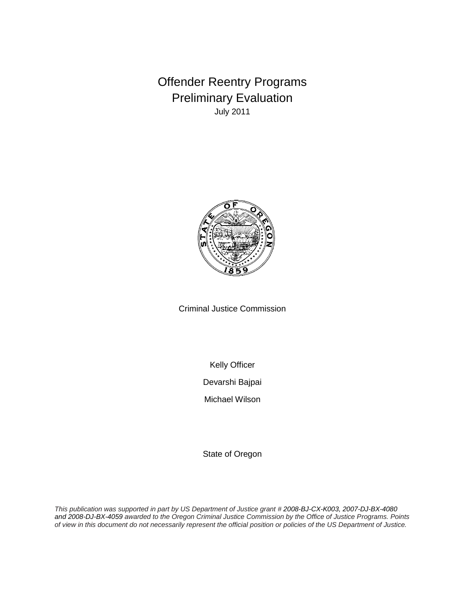Offender Reentry Programs Preliminary Evaluation July 2011



Criminal Justice Commission

Kelly Officer

Devarshi Bajpai

Michael Wilson

State of Oregon

*This publication was supported in part by US Department of Justice grant # 2008-BJ-CX-K003, 2007-DJ-BX-4080 and 2008-DJ-BX-4059 awarded to the Oregon Criminal Justice Commission by the Office of Justice Programs. Points of view in this document do not necessarily represent the official position or policies of the US Department of Justice.*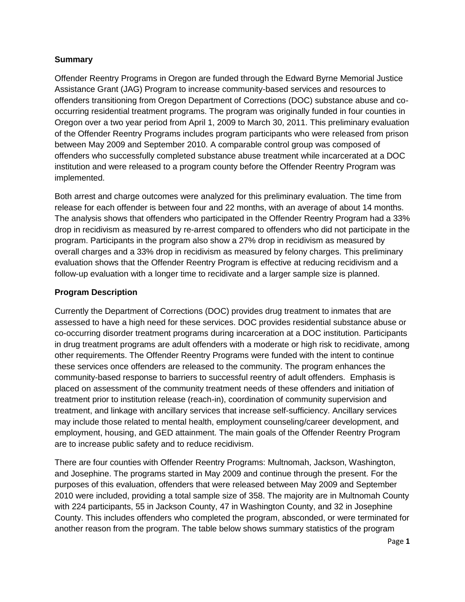### **Summary**

Offender Reentry Programs in Oregon are funded through the Edward Byrne Memorial Justice Assistance Grant (JAG) Program to increase community-based services and resources to offenders transitioning from Oregon Department of Corrections (DOC) substance abuse and cooccurring residential treatment programs. The program was originally funded in four counties in Oregon over a two year period from April 1, 2009 to March 30, 2011. This preliminary evaluation of the Offender Reentry Programs includes program participants who were released from prison between May 2009 and September 2010. A comparable control group was composed of offenders who successfully completed substance abuse treatment while incarcerated at a DOC institution and were released to a program county before the Offender Reentry Program was implemented.

Both arrest and charge outcomes were analyzed for this preliminary evaluation. The time from release for each offender is between four and 22 months, with an average of about 14 months. The analysis shows that offenders who participated in the Offender Reentry Program had a 33% drop in recidivism as measured by re-arrest compared to offenders who did not participate in the program. Participants in the program also show a 27% drop in recidivism as measured by overall charges and a 33% drop in recidivism as measured by felony charges. This preliminary evaluation shows that the Offender Reentry Program is effective at reducing recidivism and a follow-up evaluation with a longer time to recidivate and a larger sample size is planned.

### **Program Description**

Currently the Department of Corrections (DOC) provides drug treatment to inmates that are assessed to have a high need for these services. DOC provides residential substance abuse or co-occurring disorder treatment programs during incarceration at a DOC institution. Participants in drug treatment programs are adult offenders with a moderate or high risk to recidivate, among other requirements. The Offender Reentry Programs were funded with the intent to continue these services once offenders are released to the community. The program enhances the community-based response to barriers to successful reentry of adult offenders. Emphasis is placed on assessment of the community treatment needs of these offenders and initiation of treatment prior to institution release (reach-in), coordination of community supervision and treatment, and linkage with ancillary services that increase self-sufficiency. Ancillary services may include those related to mental health, employment counseling/career development, and employment, housing, and GED attainment. The main goals of the Offender Reentry Program are to increase public safety and to reduce recidivism.

There are four counties with Offender Reentry Programs: Multnomah, Jackson, Washington, and Josephine. The programs started in May 2009 and continue through the present. For the purposes of this evaluation, offenders that were released between May 2009 and September 2010 were included, providing a total sample size of 358. The majority are in Multnomah County with 224 participants, 55 in Jackson County, 47 in Washington County, and 32 in Josephine County. This includes offenders who completed the program, absconded, or were terminated for another reason from the program. The table below shows summary statistics of the program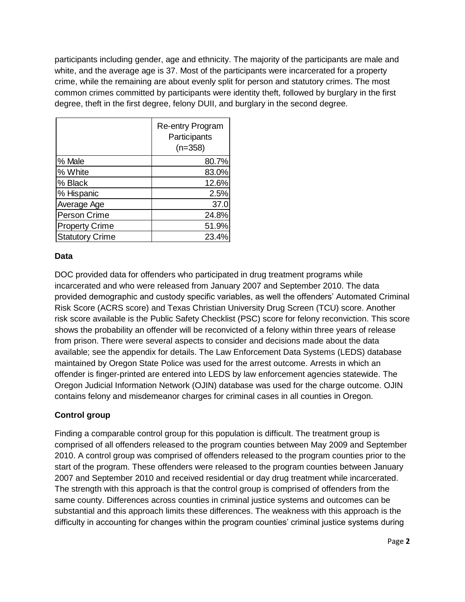participants including gender, age and ethnicity. The majority of the participants are male and white, and the average age is 37. Most of the participants were incarcerated for a property crime, while the remaining are about evenly split for person and statutory crimes. The most common crimes committed by participants were identity theft, followed by burglary in the first degree, theft in the first degree, felony DUII, and burglary in the second degree.

|                        | <b>Re-entry Program</b><br>Participants<br>$(n=358)$ |
|------------------------|------------------------------------------------------|
| % Male                 | 80.7%                                                |
| % White                | 83.0%                                                |
| % Black                | 12.6%                                                |
| % Hispanic             | 2.5%                                                 |
| Average Age            | 37.0                                                 |
| Person Crime           | 24.8%                                                |
| <b>Property Crime</b>  | 51.9%                                                |
| <b>Statutory Crime</b> | 23.4%                                                |

# **Data**

DOC provided data for offenders who participated in drug treatment programs while incarcerated and who were released from January 2007 and September 2010. The data provided demographic and custody specific variables, as well the offenders' Automated Criminal Risk Score (ACRS score) and Texas Christian University Drug Screen (TCU) score. Another risk score available is the Public Safety Checklist (PSC) score for felony reconviction. This score shows the probability an offender will be reconvicted of a felony within three years of release from prison. There were several aspects to consider and decisions made about the data available; see the appendix for details. The Law Enforcement Data Systems (LEDS) database maintained by Oregon State Police was used for the arrest outcome. Arrests in which an offender is finger-printed are entered into LEDS by law enforcement agencies statewide. The Oregon Judicial Information Network (OJIN) database was used for the charge outcome. OJIN contains felony and misdemeanor charges for criminal cases in all counties in Oregon.

# **Control group**

Finding a comparable control group for this population is difficult. The treatment group is comprised of all offenders released to the program counties between May 2009 and September 2010. A control group was comprised of offenders released to the program counties prior to the start of the program. These offenders were released to the program counties between January 2007 and September 2010 and received residential or day drug treatment while incarcerated. The strength with this approach is that the control group is comprised of offenders from the same county. Differences across counties in criminal justice systems and outcomes can be substantial and this approach limits these differences. The weakness with this approach is the difficulty in accounting for changes within the program counties' criminal justice systems during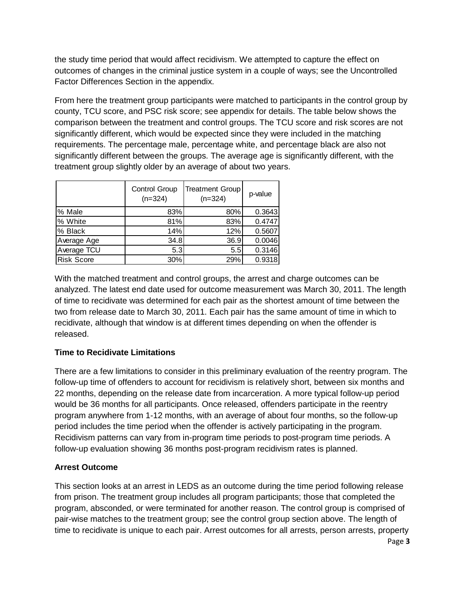the study time period that would affect recidivism. We attempted to capture the effect on outcomes of changes in the criminal justice system in a couple of ways; see the Uncontrolled Factor Differences Section in the appendix.

From here the treatment group participants were matched to participants in the control group by county, TCU score, and PSC risk score; see appendix for details. The table below shows the comparison between the treatment and control groups. The TCU score and risk scores are not significantly different, which would be expected since they were included in the matching requirements. The percentage male, percentage white, and percentage black are also not significantly different between the groups. The average age is significantly different, with the treatment group slightly older by an average of about two years.

|                   | <b>Control Group</b><br>$(n=324)$ | <b>Treatment Group</b><br>$(n=324)$ | p-value |
|-------------------|-----------------------------------|-------------------------------------|---------|
| % Male            | 83%                               | 80%                                 | 0.3643  |
| % White           | 81%                               | 83%                                 | 0.4747  |
| % Black           | 14%                               | 12%                                 | 0.5607  |
| Average Age       | 34.8                              | 36.9                                | 0.0046  |
| Average TCU       | 5.3                               | 5.5                                 | 0.3146  |
| <b>Risk Score</b> | 30%                               | 29%                                 | 0.9318  |

With the matched treatment and control groups, the arrest and charge outcomes can be analyzed. The latest end date used for outcome measurement was March 30, 2011. The length of time to recidivate was determined for each pair as the shortest amount of time between the two from release date to March 30, 2011. Each pair has the same amount of time in which to recidivate, although that window is at different times depending on when the offender is released.

# **Time to Recidivate Limitations**

There are a few limitations to consider in this preliminary evaluation of the reentry program. The follow-up time of offenders to account for recidivism is relatively short, between six months and 22 months, depending on the release date from incarceration. A more typical follow-up period would be 36 months for all participants. Once released, offenders participate in the reentry program anywhere from 1-12 months, with an average of about four months, so the follow-up period includes the time period when the offender is actively participating in the program. Recidivism patterns can vary from in-program time periods to post-program time periods. A follow-up evaluation showing 36 months post-program recidivism rates is planned.

# **Arrest Outcome**

Page **3** This section looks at an arrest in LEDS as an outcome during the time period following release from prison. The treatment group includes all program participants; those that completed the program, absconded, or were terminated for another reason. The control group is comprised of pair-wise matches to the treatment group; see the control group section above. The length of time to recidivate is unique to each pair. Arrest outcomes for all arrests, person arrests, property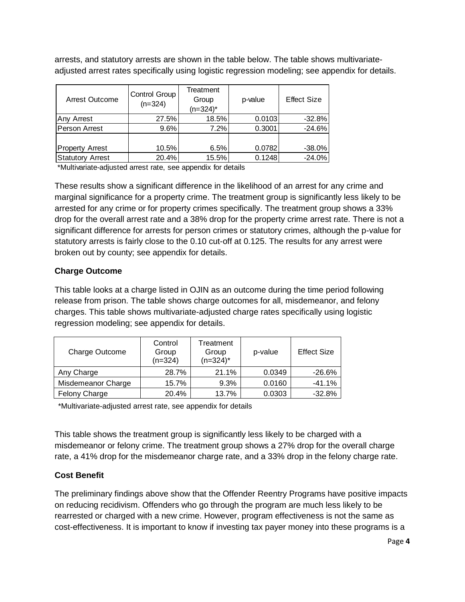arrests, and statutory arrests are shown in the table below. The table shows multivariateadjusted arrest rates specifically using logistic regression modeling; see appendix for details.

| Arrest Outcome          | Control Group<br>$(n=324)$ | Treatment<br>Group<br>$(n=324)^*$ | p-value | <b>Effect Size</b> |
|-------------------------|----------------------------|-----------------------------------|---------|--------------------|
| Any Arrest              | 27.5%                      | 18.5%                             | 0.0103  | $-32.8%$           |
| Person Arrest           | 9.6%                       | 7.2%                              | 0.3001  | $-24.6%$           |
|                         |                            |                                   |         |                    |
| <b>Property Arrest</b>  | 10.5%                      | 6.5%                              | 0.0782  | $-38.0%$           |
| <b>Statutory Arrest</b> | 20.4%                      | 15.5%                             | 0.1248  | $-24.0%$           |

\*Multivariate-adjusted arrest rate, see appendix for details

These results show a significant difference in the likelihood of an arrest for any crime and marginal significance for a property crime. The treatment group is significantly less likely to be arrested for any crime or for property crimes specifically. The treatment group shows a 33% drop for the overall arrest rate and a 38% drop for the property crime arrest rate. There is not a significant difference for arrests for person crimes or statutory crimes, although the p-value for statutory arrests is fairly close to the 0.10 cut-off at 0.125. The results for any arrest were broken out by county; see appendix for details.

### **Charge Outcome**

This table looks at a charge listed in OJIN as an outcome during the time period following release from prison. The table shows charge outcomes for all, misdemeanor, and felony charges. This table shows multivariate-adjusted charge rates specifically using logistic regression modeling; see appendix for details.

| Charge Outcome       | Control<br>Group<br>$(n=324)$ | Treatment<br>Group<br>$(n=324)^*$ | p-value | <b>Effect Size</b> |
|----------------------|-------------------------------|-----------------------------------|---------|--------------------|
| Any Charge           | 28.7%                         | 21.1%                             | 0.0349  | -26.6%             |
| Misdemeanor Charge   | 15.7%                         | 9.3%                              | 0.0160  | $-41.1%$           |
| <b>Felony Charge</b> | 20.4%                         | 13.7%                             | 0.0303  | $-32.8%$           |

\*Multivariate-adjusted arrest rate, see appendix for details

This table shows the treatment group is significantly less likely to be charged with a misdemeanor or felony crime. The treatment group shows a 27% drop for the overall charge rate, a 41% drop for the misdemeanor charge rate, and a 33% drop in the felony charge rate.

# **Cost Benefit**

The preliminary findings above show that the Offender Reentry Programs have positive impacts on reducing recidivism. Offenders who go through the program are much less likely to be rearrested or charged with a new crime. However, program effectiveness is not the same as cost-effectiveness. It is important to know if investing tax payer money into these programs is a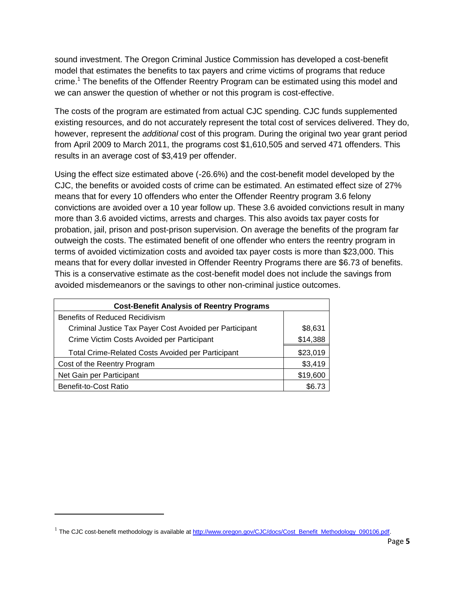sound investment. The Oregon Criminal Justice Commission has developed a cost-benefit model that estimates the benefits to tax payers and crime victims of programs that reduce crime.<sup>1</sup> The benefits of the Offender Reentry Program can be estimated using this model and we can answer the question of whether or not this program is cost-effective.

The costs of the program are estimated from actual CJC spending. CJC funds supplemented existing resources, and do not accurately represent the total cost of services delivered. They do, however, represent the *additional* cost of this program. During the original two year grant period from April 2009 to March 2011, the programs cost \$1,610,505 and served 471 offenders. This results in an average cost of \$3,419 per offender.

Using the effect size estimated above (-26.6%) and the cost-benefit model developed by the CJC, the benefits or avoided costs of crime can be estimated. An estimated effect size of 27% means that for every 10 offenders who enter the Offender Reentry program 3.6 felony convictions are avoided over a 10 year follow up. These 3.6 avoided convictions result in many more than 3.6 avoided victims, arrests and charges. This also avoids tax payer costs for probation, jail, prison and post-prison supervision. On average the benefits of the program far outweigh the costs. The estimated benefit of one offender who enters the reentry program in terms of avoided victimization costs and avoided tax payer costs is more than \$23,000. This means that for every dollar invested in Offender Reentry Programs there are \$6.73 of benefits. This is a conservative estimate as the cost-benefit model does not include the savings from avoided misdemeanors or the savings to other non-criminal justice outcomes.

| <b>Cost-Benefit Analysis of Reentry Programs</b>         |          |  |  |  |
|----------------------------------------------------------|----------|--|--|--|
| <b>Benefits of Reduced Recidivism</b>                    |          |  |  |  |
| Criminal Justice Tax Payer Cost Avoided per Participant  | \$8,631  |  |  |  |
| Crime Victim Costs Avoided per Participant               | \$14,388 |  |  |  |
| <b>Total Crime-Related Costs Avoided per Participant</b> | \$23,019 |  |  |  |
| Cost of the Reentry Program                              | \$3,419  |  |  |  |
| Net Gain per Participant                                 | \$19,600 |  |  |  |
| Benefit-to-Cost Ratio                                    | \$6.73   |  |  |  |

 $\overline{a}$ 

<sup>&</sup>lt;sup>1</sup> The CJC cost-benefit methodology is available at [http://www.oregon.gov/CJC/docs/Cost\\_Benefit\\_Methodology\\_090106.pdf.](http://www.oregon.gov/CJC/docs/Cost_Benefit_Methodology_090106.pdf)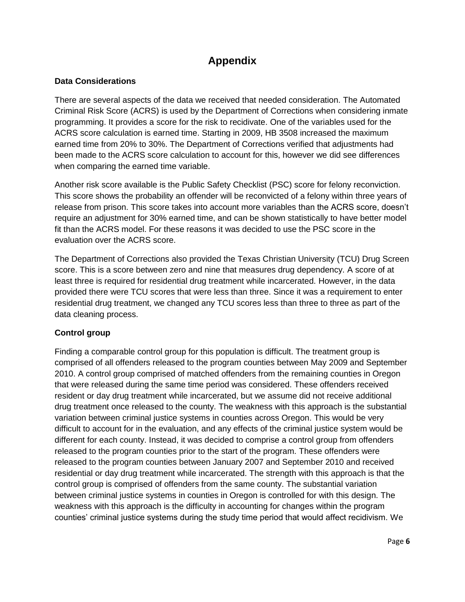# **Appendix**

# **Data Considerations**

There are several aspects of the data we received that needed consideration. The Automated Criminal Risk Score (ACRS) is used by the Department of Corrections when considering inmate programming. It provides a score for the risk to recidivate. One of the variables used for the ACRS score calculation is earned time. Starting in 2009, HB 3508 increased the maximum earned time from 20% to 30%. The Department of Corrections verified that adjustments had been made to the ACRS score calculation to account for this, however we did see differences when comparing the earned time variable.

Another risk score available is the Public Safety Checklist (PSC) score for felony reconviction. This score shows the probability an offender will be reconvicted of a felony within three years of release from prison. This score takes into account more variables than the ACRS score, doesn't require an adjustment for 30% earned time, and can be shown statistically to have better model fit than the ACRS model. For these reasons it was decided to use the PSC score in the evaluation over the ACRS score.

The Department of Corrections also provided the Texas Christian University (TCU) Drug Screen score. This is a score between zero and nine that measures drug dependency. A score of at least three is required for residential drug treatment while incarcerated. However, in the data provided there were TCU scores that were less than three. Since it was a requirement to enter residential drug treatment, we changed any TCU scores less than three to three as part of the data cleaning process.

# **Control group**

Finding a comparable control group for this population is difficult. The treatment group is comprised of all offenders released to the program counties between May 2009 and September 2010. A control group comprised of matched offenders from the remaining counties in Oregon that were released during the same time period was considered. These offenders received resident or day drug treatment while incarcerated, but we assume did not receive additional drug treatment once released to the county. The weakness with this approach is the substantial variation between criminal justice systems in counties across Oregon. This would be very difficult to account for in the evaluation, and any effects of the criminal justice system would be different for each county. Instead, it was decided to comprise a control group from offenders released to the program counties prior to the start of the program. These offenders were released to the program counties between January 2007 and September 2010 and received residential or day drug treatment while incarcerated. The strength with this approach is that the control group is comprised of offenders from the same county. The substantial variation between criminal justice systems in counties in Oregon is controlled for with this design. The weakness with this approach is the difficulty in accounting for changes within the program counties' criminal justice systems during the study time period that would affect recidivism. We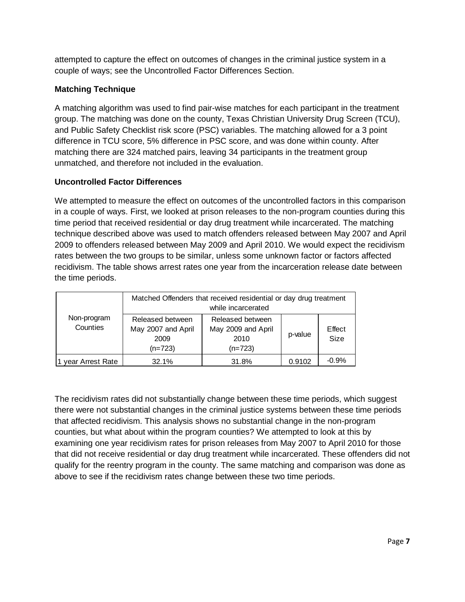attempted to capture the effect on outcomes of changes in the criminal justice system in a couple of ways; see the Uncontrolled Factor Differences Section.

# **Matching Technique**

A matching algorithm was used to find pair-wise matches for each participant in the treatment group. The matching was done on the county, Texas Christian University Drug Screen (TCU), and Public Safety Checklist risk score (PSC) variables. The matching allowed for a 3 point difference in TCU score, 5% difference in PSC score, and was done within county. After matching there are 324 matched pairs, leaving 34 participants in the treatment group unmatched, and therefore not included in the evaluation.

### **Uncontrolled Factor Differences**

We attempted to measure the effect on outcomes of the uncontrolled factors in this comparison in a couple of ways. First, we looked at prison releases to the non-program counties during this time period that received residential or day drug treatment while incarcerated. The matching technique described above was used to match offenders released between May 2007 and April 2009 to offenders released between May 2009 and April 2010. We would expect the recidivism rates between the two groups to be similar, unless some unknown factor or factors affected recidivism. The table shows arrest rates one year from the incarceration release date between the time periods.

|                         | Matched Offenders that received residential or day drug treatment<br>while incarcerated |                                                                      |        |                |
|-------------------------|-----------------------------------------------------------------------------------------|----------------------------------------------------------------------|--------|----------------|
| Non-program<br>Counties | Released between<br>May 2007 and April<br>2009<br>$(n=723)$                             | Released between<br>May 2009 and April<br>p-value<br>2010<br>(n=723) |        | Effect<br>Size |
| year Arrest Rate        | 32.1%                                                                                   | 31.8%                                                                | 0.9102 | $-0.9%$        |

The recidivism rates did not substantially change between these time periods, which suggest there were not substantial changes in the criminal justice systems between these time periods that affected recidivism. This analysis shows no substantial change in the non-program counties, but what about within the program counties? We attempted to look at this by examining one year recidivism rates for prison releases from May 2007 to April 2010 for those that did not receive residential or day drug treatment while incarcerated. These offenders did not qualify for the reentry program in the county. The same matching and comparison was done as above to see if the recidivism rates change between these two time periods.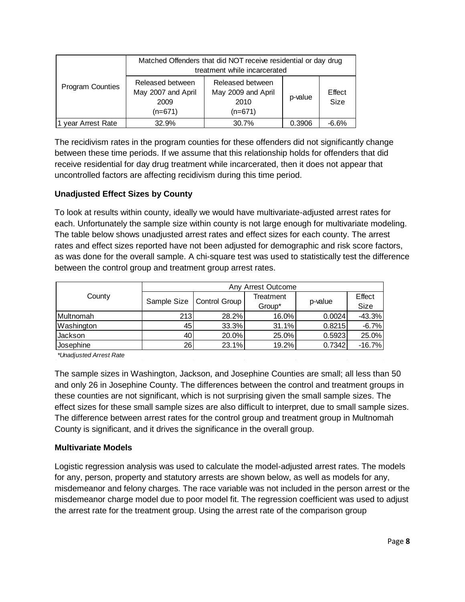|                         | Matched Offenders that did NOT receive residential or day drug<br>treatment while incarcerated |                                                           |         |                |
|-------------------------|------------------------------------------------------------------------------------------------|-----------------------------------------------------------|---------|----------------|
| <b>Program Counties</b> | Released between<br>May 2007 and April<br>2009<br>$(n=671)$                                    | Released between<br>May 2009 and April<br>2010<br>(n=671) | p-value | Effect<br>Size |
| year Arrest Rate        | 32.9%                                                                                          | 30.7%                                                     | 0.3906  | $-6.6%$        |

The recidivism rates in the program counties for these offenders did not significantly change between these time periods. If we assume that this relationship holds for offenders that did receive residential for day drug treatment while incarcerated, then it does not appear that uncontrolled factors are affecting recidivism during this time period.

# **Unadjusted Effect Sizes by County**

To look at results within county, ideally we would have multivariate-adjusted arrest rates for each. Unfortunately the sample size within county is not large enough for multivariate modeling. The table below shows unadjusted arrest rates and effect sizes for each county. The arrest rates and effect sizes reported have not been adjusted for demographic and risk score factors, as was done for the overall sample. A chi-square test was used to statistically test the difference between the control group and treatment group arrest rates.

|            | Any Arrest Outcome |                             |           |         |          |  |  |
|------------|--------------------|-----------------------------|-----------|---------|----------|--|--|
| County     |                    | Sample Size   Control Group | Treatment | p-value | Effect   |  |  |
|            |                    |                             | Group*    |         | Size     |  |  |
| Multnomah  | 213I               | 28.2%                       | $16.0\%$  | 0.0024  | $-43.3%$ |  |  |
| Washington | 45                 | 33.3%                       | 31.1%     | 0.8215  | $-6.7%$  |  |  |
| Jackson    | 40                 | 20.0%                       | 25.0%     | 0.5923  | 25.0%    |  |  |
| Josephine  | 26                 | 23.1%                       | 19.2%     | 0.7342  | $-16.7%$ |  |  |

*\*Unadjusted Arrest Rate*

The sample sizes in Washington, Jackson, and Josephine Counties are small; all less than 50 and only 26 in Josephine County. The differences between the control and treatment groups in these counties are not significant, which is not surprising given the small sample sizes. The effect sizes for these small sample sizes are also difficult to interpret, due to small sample sizes. The difference between arrest rates for the control group and treatment group in Multnomah County is significant, and it drives the significance in the overall group.

# **Multivariate Models**

Logistic regression analysis was used to calculate the model-adjusted arrest rates. The models for any, person, property and statutory arrests are shown below, as well as models for any, misdemeanor and felony charges. The race variable was not included in the person arrest or the misdemeanor charge model due to poor model fit. The regression coefficient was used to adjust the arrest rate for the treatment group. Using the arrest rate of the comparison group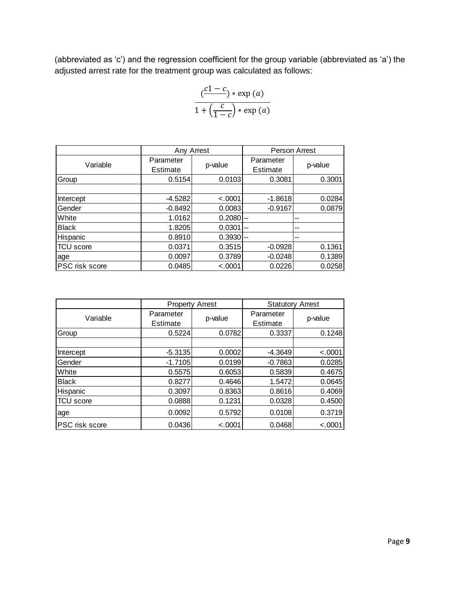(abbreviated as 'c') and the regression coefficient for the group variable (abbreviated as 'a') the adjusted arrest rate for the treatment group was calculated as follows:

$$
\frac{(c1-c) * \exp(a)}{1 + (\frac{c}{1-c}) * \exp(a)}
$$

|                  | Any Arrest            |          | Person Arrest            |         |  |
|------------------|-----------------------|----------|--------------------------|---------|--|
| Variable         | Parameter<br>Estimate | p-value  | Parameter<br>Estimate    | p-value |  |
| Group            | 0.5154                | 0.0103   | 0.3081                   | 0.3001  |  |
|                  |                       |          |                          |         |  |
| Intercept        | $-4.5282$             | < .0001  | $-1.8618$                | 0.0284  |  |
| Gender           | $-0.8492$             | 0.0083   | $-0.9167$                | 0.0879  |  |
| White            | 1.0162                | 0.2080   | $\overline{\phantom{a}}$ | --      |  |
| <b>Black</b>     | 1.8205                | 0.0301   | --                       | --      |  |
| Hispanic         | 0.8910                | 0.3930   | $-$                      | --      |  |
| <b>TCU</b> score | 0.0371                | 0.3515   | $-0.0928$                | 0.1361  |  |
| age              | 0.0097                | 0.3789   | $-0.0248$                | 0.1389  |  |
| PSC risk score   | 0.0485                | $-.0001$ | 0.0226                   | 0.0258  |  |

|                       |                       | <b>Property Arrest</b> | <b>Statutory Arrest</b> |          |  |
|-----------------------|-----------------------|------------------------|-------------------------|----------|--|
| Variable              | Parameter<br>Estimate | p-value                | Parameter<br>Estimate   | p-value  |  |
| Group                 | 0.5224                | 0.0782                 | 0.3337                  | 0.1248   |  |
|                       |                       |                        |                         |          |  |
| Intercept             | $-5.3135$             | 0.0002                 | $-4.3649$               | < .0001  |  |
| Gender                | $-1.7105$             | 0.0199                 | $-0.7863$               | 0.0285   |  |
| White                 | 0.5575                | 0.6053                 | 0.5839                  | 0.4675   |  |
| <b>Black</b>          | 0.8277                | 0.4646                 | 1.5472                  | 0.0645   |  |
| Hispanic              | 0.3097                | 0.8363                 | 0.8616                  | 0.4069   |  |
| <b>TCU</b> score      | 0.0888                | 0.1231                 | 0.0328                  | 0.4500   |  |
| age                   | 0.0092                | 0.5792                 | 0.0108                  | 0.3719   |  |
| <b>PSC</b> risk score | 0.0436                | $-.0001$               | 0.0468                  | $-.0001$ |  |